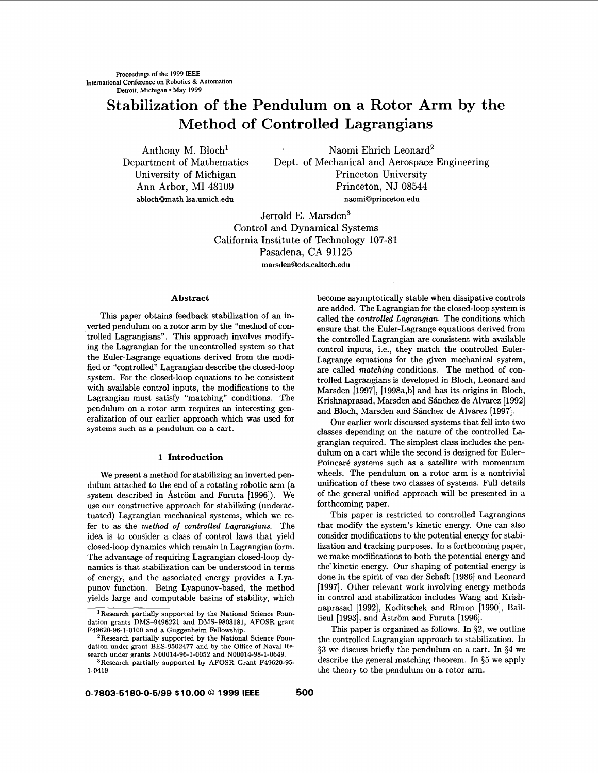# **Stabilization of the Pendulum on a Rotor Arm by the Method of Controlled Lagrangians**

Anthony M. Bloch<sup>1</sup> Naomi Ehrich Leonard<sup>2</sup> Department of Mathematics Dept. of Mechanical and Aerospace Engineering University of Michigan Princeton University Ann Arbor, MI 48109 Princeton, NJ 08544 **[ablochQmath.lsa.umich.edu](http://ablochQmath.lsa.umich.edu)** [naomiQprinceton.edu](http://naomiQprinceton.edu)

> Jerrold E. Marsden3 Control and Dynamical Systems California Institute of Technology 107-81 Pasadena, CA 91125 [marsdenQcds.caltech.edu](http://marsdenQcds.caltech.edu)

#### **Abstract**

This paper obtains feedback stabilization of an inverted pendulum on a rotor arm by the "method of controlled Lagrangians". This approach involves modifying the Lagrangian for the uncontrolled system so that the Euler-Lagrange equations derived from the modified or "controlled" Lagrangian describe the closed-loop system. For the closed-loop equations to be consistent with available control inputs, the modifications to the Lagrangian must satisfy "matching" conditions. The pendulum on a rotor arm requires an interesting generalization of our earlier approach which was used for systems **such as** a pendulum on a cart.

### **1 Introduction**

We present a method for stabilizing an inverted pendulum attached to the end of a rotating robotic arm (a system described in Åström and Furuta [1996]). We use our constructive approach for stabilizing (underactuated) Lagrangian mechanical systems, which we refer to **as** the *method of controlled Lagrangians.* The idea is to consider a class of control laws that yield closed-loop dynamics which remain in Lagrangian form. The advantage of requiring Lagrangian closed-loop dynamics is that stabilization can be understood in terms of energy, and the associated energy provides a Lyapunov function. Being Lyapunov-based, the method yields large and computable basins of stability, which become asymptotically stable when dissipative controls are added. The Lagrangian for the closed-loop system is called the *controlled Lagrangian.* The conditions which ensure that the Euler-Lagrange equations derived from the controlled Lagrangian are consistent with available control inputs, i.e., they match the controlled Euler-Lagrange equations for the given mechanical system, are called *matching* conditions. The method of controlled Lagrangians is developed in Bloch, Leonard and Marsden **[1997], [1998a,b]** and has its origins in Bloch, Krishnaprasad, Marsden and Sánchez de Alvarez [1992] and Bloch, Marsden and Sánchez de Alvarez [1997].

Our earlier work discussed systems that fell into two classes depending on the nature of the controlled Lagrangian required. The simplest class includes the pendulum on a cart while the second is designed for Euler-Poincaré systems such as a satellite with momentum wheels. The pendulum on a rotor arm is a nontrivial unification of these two classes of systems. Full details of the general unified approach will be presented in a forthcoming paper.

This paper is restricted to controlled Lagrangians that modify the system's kinetic energy. One can also consider modifications to the potential energy for stabilization and tracking purposes. In a forthcoming paper, we make modifications to both the potential energy and the' kinetic energy. Our shaping of potential energy is done in the spirit of van der Schaft **[1986]** and Leonard **[1997].** Other relevant work involving energy methods in control and stabilization includes Wang and Krishnaprasad [1992], Koditschek and Rimon [1990], Baillieu1 **[1993],** and Astrom and Furuta **[1996].** 

This paper is organized as follows. In **\$2,** we outline the controlled Lagrangian approach to stabilization. In **\$3** we discuss briefly the pendulum on a cart. In **\$4** we describe the general matching theorem. In **\$5** we apply the theory to the pendulum on a rotor arm.

<sup>&</sup>lt;sup>1</sup> Research partially supported by the National Science Foun**dation grants DMS-9496221 and DMS-9803181, AFOSR grant F49620-96-1-0100 and a Guggenheim Fellowship.** 

**<sup>2</sup>Research partially supported by the National Science Foundation under grant BES-9502477 and by the Office of Nwal Research under grants N00014-96-1-0052 and N00014-98-1-0649. 3Research partially supported by AFOSR Grant F49620-95- 1-0419**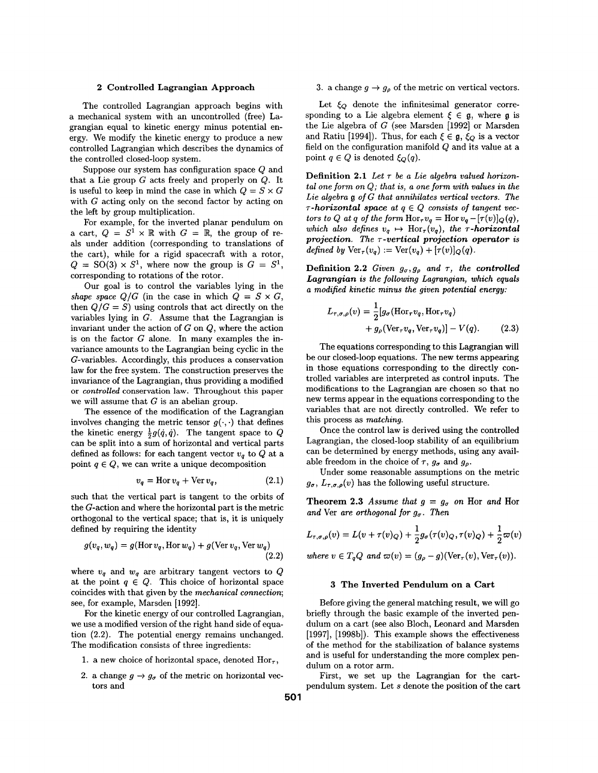The controlled Lagrangian approach begins with a mechanical system with an uncontrolled (free) Lagrangian equal to kinetic energy minus potential energy. We modify the kinetic energy to produce a new controlled Lagrangian which describes the dynamics of the controlled closed-loop system.

Suppose our system has configuration space Q and that a Lie group  $G$  acts freely and properly on  $Q$ . It is useful to keep in mind the case in which  $Q = S \times G$ with G acting only on the second factor by acting on the left by group multiplication.

For example, for the inverted planar pendulum on a cart,  $Q = S^1 \times \mathbb{R}$  with  $G = \mathbb{R}$ , the group of reals under addition (corresponding to translations of the cart), while for a rigid spacecraft with a rotor,  $Q = SO(3) \times S^1$ , where now the group is  $G = S^1$ , corresponding to rotations of the rotor.

Our goal is to control the variables lying in the *shape space*  $Q/G$  *(in the case in which*  $Q = S \times G$ *,* then  $Q/G = S$ ) using controls that act directly on the variables lying in  $G$ . Assume that the Lagrangian is invariant under the action of  $G$  on  $Q$ , where the action is on the factor  $G$  alone. In many examples the invariance amounts to the Lagrangian being cyclic in the G-variables. Accordingly, this produces a conservation law for the free system. The construction preserves the invariance of the Lagrangian, thus providing a modified or *controlled* conservation law. Throughout this paper we will assume that  $G$  is an abelian group.

The essence of the modification of the Lagrangian involves changing the metric tensor  $g(\cdot, \cdot)$  that defines the kinetic energy  $\frac{1}{2}g(\dot{q},\dot{q})$ . The tangent space to Q can be split into a sum of horizontal and vertical parts defined as follows: for each tangent vector  $v_a$  to  $Q$  at a point  $q \in Q$ , we can write a unique decomposition

$$
v_q = \text{Hor } v_q + \text{Ver } v_q, \tag{2.1}
$$

such that the vertical part is tangent to the orbits of the G-action and where the horizontal part is the metric orthogonal to the vertical space; that is, it is uniquely defined by requiring the identity

$$
g(v_q, w_q) = g(\text{Hor } v_q, \text{Hor } w_q) + g(\text{Ver } v_q, \text{Ver } w_q)
$$
\n(2.2)

where  $v_q$  and  $w_q$  are arbitrary tangent vectors to Q at the point  $q \in Q$ . This choice of horizontal space coincides with that given by the *mechanical connection;*  see, for example, Marsden [1992].

For the kinetic energy of our controlled Lagrangian, we use a modified version of the right hand side of equation (2.2). The potential energy remains unchanged. The modification consists of three ingredients:

- 1. a new choice of horizontal space, denoted  $Hor_{\tau}$ ,
- 

**2 Controlled Lagrangian Approach** 3. a change  $g \rightarrow g_\rho$  of the metric on vertical vectors.

Let  $\xi_Q$  denote the infinitesimal generator corresponding to a Lie algebra element  $\xi \in \mathfrak{g}$ , where  $\mathfrak{g}$  is the Lie algebra of  $G$  (see Marsden [1992] or Marsden and Ratiu [1994]). Thus, for each  $\xi \in \mathfrak{g}$ ,  $\xi_Q$  is a vector field on the configuration manifold Q and its value at a point  $q \in Q$  is denoted  $\xi_Q(q)$ .

**Definition 2.1** Let  $\tau$  be a Lie algebra valued horizon*tal one form on* Q; *that is, a one form with values in the Lie algebra* **g** *of* G *that annihilates vertical vectors. The*   $\tau$ -horizontal space at  $q \in Q$  consists of tangent vec*tors to Q at q of the form*  $\text{Hor}_{\tau}v_q = \text{Hor} v_q - [\tau(v)]_Q(q)$ , *which also defines*  $v_q \mapsto \text{Hor}_\tau(v_q)$ , *the*  $\tau$ *-horizontal projection. The 7-vertical projection operator is defined by*  $\text{Ver}_{\tau}(v_a) := \text{Ver}(v_a) + [\tau(v)]_Q(q)$ .

**Definition 2.2** *Given*  $g_{\sigma}, g_{\rho}$  *and*  $\tau$ *, the controlled* Lagrangian is the following Lagrangian, which equals *a modified kinetic minus the given potential energy:* 

$$
L_{\tau,\sigma,\rho}(v) = \frac{1}{2} [g_{\sigma}(\text{Hor}_{\tau}v_q, \text{Hor}_{\tau}v_q) + g_{\rho}(\text{Ver}_{\tau}v_q, \text{Ver}_{\tau}v_q)] - V(q). \tag{2.3}
$$

The equations corresponding to this Lagrangian will be our closed-loop equations. The new terms appearing in those equations corresponding to the directly controlled variables are interpreted as control inputs. The modifications to the Lagrangian are chosen so that no new terms appear in the equations corresponding to the variables that are not directly controlled. We refer to this process as *matching.* 

Once the control law is derived using the controlled Lagrangian, the closed-loop stability of an equilibrium can be determined by energy methods, using any available freedom in the choice of  $\tau$ ,  $g_{\sigma}$  and  $g_{\rho}$ .

Under some reasonable assumptions on the metric  $g_{\sigma}$ ,  $L_{\tau,\sigma,\rho}(v)$  has the following useful structure.

**Theorem 2.3** Assume that  $g = g_{\sigma}$  on Hor and Hor *and* Ver *are orthogonal for ga. Then* 

$$
L_{\tau,\sigma,\rho}(v) = L(v + \tau(v)Q) + \frac{1}{2}g_{\sigma}(\tau(v)Q, \tau(v)Q) + \frac{1}{2}\varpi(v)
$$

where 
$$
v \in T_q Q
$$
 and  $\varpi(v) = (g_\rho - g)(\text{Ver}_\tau(v), \text{Ver}_\tau(v))$ 

#### **3 The Inverted Pendulum on a Cart**

Before giving the general matching result, we will go briefly through the basic example of the inverted pendulum on a cart (see also Bloch, Leonard and Marsden [1997], [1998b]). This example shows the effectiveness of the method for the stabilization of balance systems and is useful for understanding the more complex pendulum on a rotor arm.

2. a change  $g \to g_{\sigma}$  of the metric on horizontal vec-<br>tors and<br>pendulum system. Let s denote the position of the cartpendulum system. Let *s* denote the position of the cart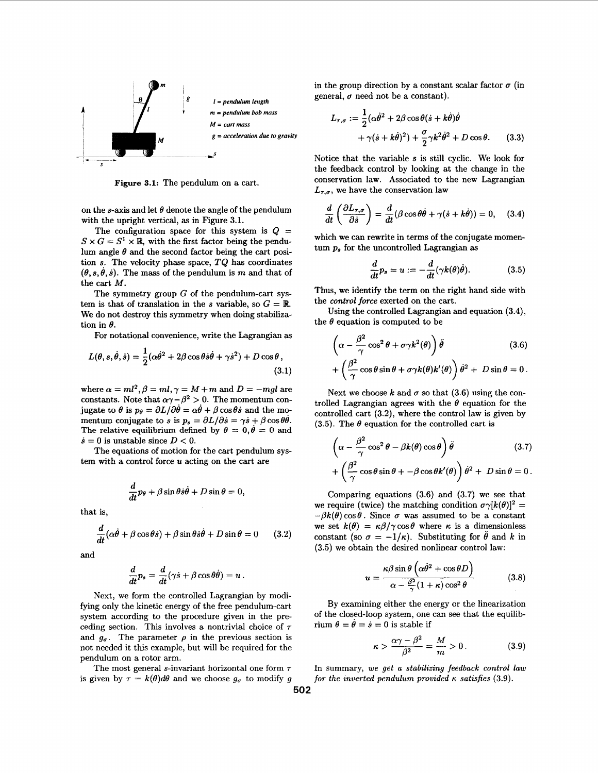

**Figure 3.1:** The pendulum on a cart.

on the s-axis and let  $\theta$  denote the angle of the pendulum with the upright vertical, **as** in Figure **3.1.** 

The configuration space for this system is  $Q =$  $S \times G = S^1 \times \mathbb{R}$ , with the first factor being the pendulum angle  $\theta$  and the second factor being the cart position **s.** The velocity phase space, TQ has coordinates  $(\theta, s, \dot{\theta}, \dot{s})$ . The mass of the pendulum is *m* and that of the cart M.

The symmetry group  $G$  of the pendulum-cart system is that of translation in the *s* variable, so  $G = \mathbb{R}$ . We do not destroy this symmetry when doing stabilization in  $\theta$ .

For notational convenience, write the Lagrangian **as** 

$$
L(\theta, s, \dot{\theta}, \dot{s}) = \frac{1}{2} (\alpha \dot{\theta}^2 + 2\beta \cos \theta \dot{s} \dot{\theta} + \gamma \dot{s}^2) + D \cos \theta, \tag{3.1}
$$

where  $\alpha = ml^2$ ,  $\beta = ml$ ,  $\gamma = M+m$  and  $D = -mgl$  are constants. Note that  $\alpha\gamma-\beta^2 > 0$ . The momentum conjugate to  $\theta$  is  $p_{\theta} = \partial L/\partial \dot{\theta} = \alpha \dot{\theta} + \beta \cos \theta \dot{s}$  and the momentum conjugate to s is  $p_s = \partial L/\partial \dot{s} = \gamma \dot{s} + \beta \cos \theta \dot{\theta}$ . The relative equilibrium defined by  $\theta = 0, \dot{\theta} = 0$  and  $\dot{s} = 0$  is unstable since  $D < 0$ .

The equations of motion for the cart pendulum system with a control force *U* acting on the cart are

$$
\frac{d}{dt}p_{\theta} + \beta \sin \theta \dot{s} \dot{\theta} + D \sin \theta = 0,
$$

that is,

$$
\frac{d}{dt}(\alpha\dot{\theta} + \beta\cos\theta\dot{s}) + \beta\sin\theta\dot{s}\dot{\theta} + D\sin\theta = 0 \qquad (3.2)
$$

and

$$
\frac{d}{dt}p_s = \frac{d}{dt}(\gamma \dot{s} + \beta \cos \theta \dot{\theta}) = u.
$$

Next, we form the controlled Lagrangian by modifying only the kinetic energy of the free pendulum-cart system according to the procedure given in the preceding section. This involves a nontrivial choice of *T*  and  $g_{\sigma}$ . The parameter  $\rho$  in the previous section is not needed it this example, but will be required for the pendulum on a rotor arm.

The most general s-invariant horizontal one form *T*  is given by  $\tau = k(\theta)d\theta$  and we choose  $g_{\sigma}$  to modify g in the group direction by a constant scalar factor  $\sigma$  (in general,  $\sigma$  need not be a constant).

$$
L_{\tau,\sigma} := \frac{1}{2} (\alpha \dot{\theta}^2 + 2\beta \cos \theta (\dot{s} + k\dot{\theta}) \dot{\theta} + \gamma (\dot{s} + k\dot{\theta})^2) + \frac{\sigma}{2} \gamma k^2 \dot{\theta}^2 + D \cos \theta.
$$
 (3.3)

Notice that the variable **s** is still cyclic. We look for the feedback control by looking at the change in the conservation law. Associated to the new Lagrangian  $L_{\tau,\sigma}$ , we have the conservation law

$$
\frac{d}{dt}\left(\frac{\partial L_{\tau,\sigma}}{\partial \dot{s}}\right) = \frac{d}{dt}(\beta \cos \theta \dot{\theta} + \gamma (\dot{s} + k \dot{\theta})) = 0, \quad (3.4)
$$

which we can rewrite in terms of the conjugate momentum p, for the uncontrolled Lagrangian **as** 

$$
\frac{d}{dt}p_s = u := -\frac{d}{dt}(\gamma k(\theta)\dot{\theta}).
$$
\n(3.5)

Thus, we identify the term on the right hand side with the *control* force exerted on the cart.

Using the controlled Lagrangian and equation **(3.4),**  the  $\theta$  equation is computed to be

$$
\left(\alpha - \frac{\beta^2}{\gamma} \cos^2 \theta + \sigma \gamma k^2(\theta)\right) \ddot{\theta}
$$
\n
$$
+ \left(\frac{\beta^2}{\gamma} \cos \theta \sin \theta + \sigma \gamma k(\theta) k'(\theta)\right) \dot{\theta}^2 + D \sin \theta = 0.
$$
\n(3.6)

Next we choose  $k$  and  $\sigma$  so that (3.6) using the controlled Lagrangian agrees with the  $\theta$  equation for the controlled cart **(3.2),** where the control law is given by (3.5). The  $\theta$  equation for the controlled cart is

$$
\left(\alpha - \frac{\beta^2}{\gamma}\cos^2\theta - \beta k(\theta)\cos\theta\right)\ddot{\theta}
$$
\n
$$
+ \left(\frac{\beta^2}{\gamma}\cos\theta\sin\theta + -\beta\cos\theta k'(\theta)\right)\dot{\theta}^2 + D\sin\theta = 0.
$$
\n(3.7)

Comparing equations **(3.6)** and **(3.7)** we see that we require (twice) the matching condition  $\sigma \gamma[k(\theta)]^2 =$  $-\beta k(\theta)\cos\theta$ . Since  $\sigma$  was assumed to be a constant we set  $k(\theta) = \kappa \beta / \gamma \cos \theta$  where  $\kappa$  is a dimensionless constant (so  $\sigma = -1/\kappa$ ). Substituting for  $\hat{\theta}$  and  $k$  in **(3.5)** we obtain the desired nonlinear control law:

$$
u = \frac{\kappa \beta \sin \theta \left( \alpha \dot{\theta}^2 + \cos \theta D \right)}{\alpha - \frac{\beta^2}{\gamma} (1 + \kappa) \cos^2 \theta} \tag{3.8}
$$

By examining either the energy or the linearization of the closed-loop system, one can see that the equilibrium  $\theta = \dot{\theta} = \dot{s} = 0$  is stable if

$$
\kappa > \frac{\alpha \gamma - \beta^2}{\beta^2} = \frac{M}{m} > 0. \tag{3.9}
$$

In summary, we get a stabilizing feedback control law *for the inverted pendulum provided*  $\kappa$  *satisfies* (3.9).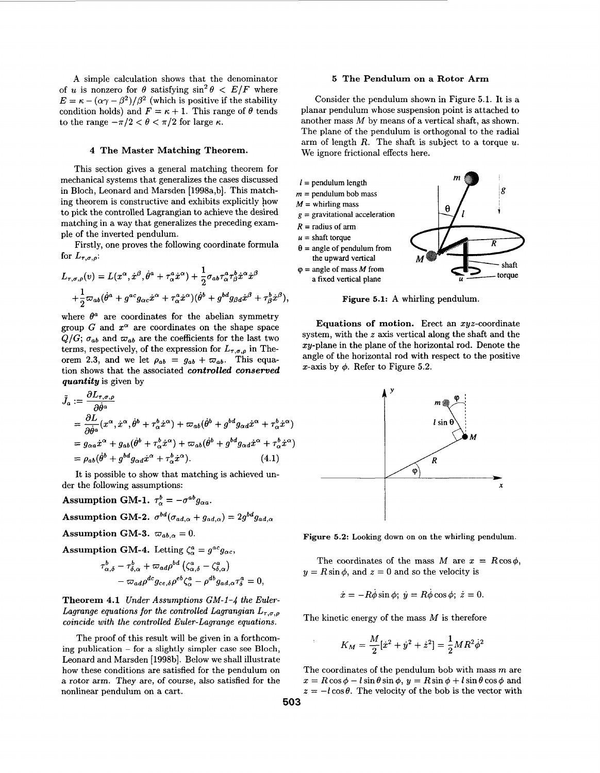**A** simple calculation shows that the denominator of *u* is nonzero for  $\theta$  satisfying  $\sin^2 \theta \, \leq \, E/F$  where  $E = \kappa - (\alpha \gamma - \beta^2)/\beta^2$  (which is positive if the stability condition holds) and  $F = \kappa + 1$ . This range of  $\theta$  tends to the range  $-\pi/2 < \theta < \pi/2$  for large  $\kappa$ .

#### **4 The Master Matching Theorem.**

This section gives a general matching theorem for mechanical systems that generalizes the cases discussed in Bloch, Leonard and Marsden [1998a,b]. This matching theorem is constructive and exhibits explicitly how to pick the controlled Lagrangian to achieve the desired matching in a way that generalizes the preceding example of the inverted pendulum.

Firstly, one proves the following coordinate formula for  $L_{\tau,\sigma,\rho}$ :

$$
L_{\tau,\sigma,\rho}(v) = L(x^{\alpha}, \dot{x}^{\beta}, \dot{\theta}^{a} + \tau_{\alpha}^{a} \dot{x}^{\alpha}) + \frac{1}{2} \sigma_{ab} \tau_{\alpha}^{a} \tau_{\beta}^{b} \dot{x}^{\alpha} \dot{x}^{\beta} + \frac{1}{2} \varpi_{ab} (\dot{\theta}^{a} + g^{ac} g_{\alpha c} \dot{x}^{\alpha} + \tau_{\alpha}^{a} \dot{x}^{\alpha}) (\dot{\theta}^{b} + g^{bd} g_{\beta d} \dot{x}^{\beta} + \tau_{\beta}^{b} \dot{x}^{\beta}),
$$

where  $\theta^a$  are coordinates for the abelian symmetry group G and  $x^{\alpha}$  are coordinates on the shape space  $Q/G$ ;  $\sigma_{ab}$  and  $\omega_{ab}$  are the coefficients for the last two terms, respectively, of the expression for  $L_{\tau,\sigma,\rho}$  in Theorem 2.3, and we let  $\rho_{ab} = g_{ab} + \omega_{ab}$ . This equation shows that the associated *controlled conserved quantity* is given by

$$
\tilde{J}_a := \frac{\partial L_{\tau,\sigma,\rho}}{\partial \dot{\theta}^a}
$$
\n
$$
= \frac{\partial L}{\partial \dot{\theta}^a} (x^\alpha, \dot{x}^\alpha, \dot{\theta}^b + \tau_\alpha^b \dot{x}^\alpha) + \varpi_{ab} (\dot{\theta}^b + g^{bd} g_{\alpha d} \dot{x}^\alpha + \tau_\alpha^b \dot{x}^\alpha)
$$
\n
$$
= g_{\alpha a} \dot{x}^\alpha + g_{ab} (\dot{\theta}^b + \tau_\alpha^b \dot{x}^\alpha) + \varpi_{ab} (\dot{\theta}^b + g^{bd} g_{\alpha d} \dot{x}^\alpha + \tau_\alpha^b \dot{x}^\alpha)
$$
\n
$$
= \rho_{ab} (\dot{\theta}^b + g^{bd} g_{\alpha d} \dot{x}^\alpha + \tau_\alpha^b \dot{x}^\alpha).
$$
\n(4.1)

It is possible to show that matching is achieved under the following assumptions:

**Assumption GM-1.**  $\tau_{\alpha}^{b} = -\sigma^{ab}g_{\alpha a}$ .

Assumption GM-2.  $\sigma^{bd}(\sigma_{ad,\alpha} + g_{ad,\alpha}) = 2g^{bd}g_{ad,\alpha}$ 

Assumption GM-3.  $\varpi_{ab,\alpha} = 0$ .

**Assumption GM-4.** Letting  $\zeta_{\alpha}^{a} = g^{ac}g_{\alpha c}$ ,

$$
\tau_{\alpha,\delta}^b - \tau_{\delta,\alpha}^b + \varpi_{ad}\rho^{bd} (\zeta_{\alpha,\delta}^a - \zeta_{\delta,\alpha}^a) - \varpi_{ad}\rho^{dc} g_{ce,\delta}\rho^{eb} \zeta_{\alpha}^a - \rho^{db} g_{ad,\alpha} \tau_{\delta}^a = 0,
$$

**Theorem 4.1** *Under Assumptions GM-1-4 the Euler-Lagrange equations for the controlled Lagrangian*  $L_{\tau,\sigma,\rho}$ *coincide with the controlled Euler-Lagrange equations.* 

The proof of this result will be given in a forthcoming publication  $-$  for a slightly simpler case see Bloch, Leonard and Marsden [1998b]. Below we shall illustrate how these conditions are satisfied for the pendulum on a rotor arm. They are, of course, also satisfied for the nonlinear pendulum on a cart.

## **5 The Pendulum on a Rotor Arm**

Consider the pendulum shown in Figure **5.1.** It is a planar pendulum whose suspension point is attached to another mass *M* by means of a vertical shaft, **as** shown. The plane of the pendulum is orthogonal to the radial arm of length R. The shaft is subject to a torque *U.*  We ignore frictional effects here.



**Figure 5.1: A** whirling pendulum.

**Equations of motion.** Erect an zyz-coordinate system, with the *z* axis vertical along the shaft and the zy-plane in the plane of the horizontal rod. Denote the angle of the horizontal rod with respect to the positive x-axis by  $\phi$ . Refer to Figure 5.2.



**Figure** *5.2:* **Looking down** on **on** the whirling pendulum.

The coordinates of the mass  $M$  are  $x = R \cos \phi$ ,  $y = R \sin \phi$ , and  $z = 0$  and so the velocity is

$$
\dot{x} = -R\dot{\phi}\sin\phi; \ \dot{y} = R\dot{\phi}\cos\phi; \ \dot{z} = 0.
$$

The kinetic energy of the mass *M* is therefore

$$
K_M = \frac{M}{2}[\dot{x}^2 + \dot{y}^2 + \dot{z}^2] = \frac{1}{2}MR^2\dot{\phi}^2
$$

The coordinates of the pendulum bob with mass *m* are  $x = R\cos\phi - l\sin\theta\sin\phi, y = R\sin\phi + l\sin\theta\cos\phi$  and  $z = -l \cos \theta$ . The velocity of the bob is the vector with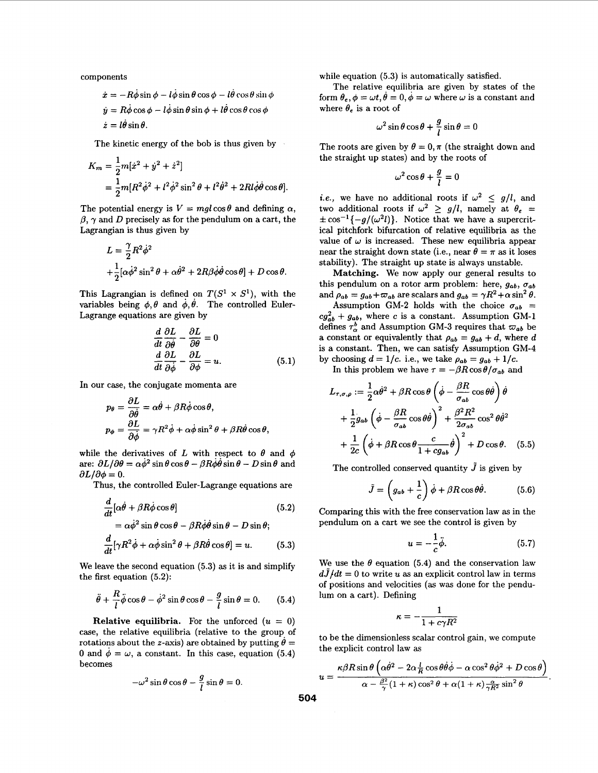components

$$
\dot{x} = -R\dot{\phi}\sin\phi - l\dot{\phi}\sin\theta\cos\phi - l\dot{\theta}\cos\theta\sin\phi
$$
  

$$
\dot{y} = R\dot{\phi}\cos\phi - l\dot{\phi}\sin\theta\sin\phi + l\dot{\theta}\cos\theta\cos\phi
$$
  

$$
\dot{z} = l\dot{\theta}\sin\theta.
$$

The kinetic energy of the bob is thus given by

$$
K_m = \frac{1}{2}m[\dot{x}^2 + \dot{y}^2 + \dot{z}^2]
$$
  
=  $\frac{1}{2}m[R^2\dot{\phi}^2 + l^2\dot{\phi}^2\sin^2\theta + l^2\dot{\theta}^2 + 2Rl\dot{\phi}\dot{\theta}\cos\theta].$ 

The potential energy is  $V = mgl \cos \theta$  and defining  $\alpha$ ,  $\beta$ ,  $\gamma$  and *D* precisely as for the pendulum on a cart, the Lagrangian is thus given by

$$
L = \frac{\gamma}{2} R^2 \dot{\phi}^2
$$
  
 
$$
+ \frac{1}{2} [\alpha \dot{\phi}^2 \sin^2 \theta + \alpha \dot{\theta}^2 + 2R\beta \dot{\phi} \dot{\theta} \cos \theta] + D \cos \theta.
$$

This Lagrangian is defined on  $T(S^1 \times S^1)$ , with the variables being  $\phi$ ,  $\theta$  and  $\dot{\phi}$ ,  $\dot{\theta}$ . The controlled Euler-Lagrange equations are given by

$$
\frac{d}{dt}\frac{\partial L}{\partial \dot{\theta}} - \frac{\partial L}{\partial \theta} = 0
$$
  

$$
\frac{d}{dt}\frac{\partial L}{\partial \dot{\phi}} - \frac{\partial L}{\partial \phi} = u.
$$
 (5.1)

In our case, the conjugate momenta are

$$
p_{\theta} = \frac{\partial L}{\partial \dot{\theta}} = \alpha \dot{\theta} + \beta R \dot{\phi} \cos \theta,
$$
  

$$
p_{\phi} = \frac{\partial L}{\partial \dot{\phi}} = \gamma R^2 \dot{\phi} + \alpha \dot{\phi} \sin^2 \theta + \beta R \dot{\theta} \cos \theta,
$$

while the derivatives of L with respect to  $\theta$  and  $\phi$ are:  $\partial L/\partial \theta = \alpha \dot{\phi}^2 \sin \theta \cos \theta - \beta R \dot{\phi} \dot{\theta} \sin \theta - D \sin \theta$  and  $\partial L/\partial \phi = 0$ .

Thus, the controlled Euler-Lagrange equations are

$$
\frac{d}{dt}[\alpha \dot{\theta} + \beta R \dot{\phi} \cos \theta] \qquad (5.2)
$$
  
=  $\alpha \dot{\phi}^2 \sin \theta \cos \theta - \beta R \dot{\phi} \dot{\theta} \sin \theta - D \sin \theta;$ 

$$
\frac{d}{dt}[\gamma R^2 \dot{\phi} + \alpha \dot{\phi} \sin^2 \theta + \beta R \dot{\theta} \cos \theta] = u.
$$
 (5.3)

We leave the second equation **(5.3) as** it is and simplify the first equation **(5.2):** 

$$
\ddot{\theta} + \frac{R}{l}\ddot{\phi}\cos\theta - \dot{\phi}^2\sin\theta\cos\theta - \frac{g}{l}\sin\theta = 0. \qquad (5.4)
$$

**Relative equilibria.** For the unforced  $(u = 0)$ case, the relative equilibria (relative to the group. of rotations about the *z*-axis) are obtained by putting  $\theta =$ 0 and  $\dot{\phi} = \omega$ , a constant. In this case, equation (5.4) becomes

$$
-\omega^2 \sin \theta \cos \theta - \frac{g}{l} \sin \theta = 0
$$

while equation **(5.3)** is automatically satisfied.

The relative equilibria are given by states of the form  $\theta_e$ ,  $\phi = \omega t$ ,  $\dot{\theta} = 0$ ,  $\dot{\phi} = \omega$  where  $\omega$  is a constant and where  $\theta_e$  is a root of

$$
\omega^2 \sin \theta \cos \theta + \frac{g}{l} \sin \theta = 0
$$

The roots are given by  $\theta = 0, \pi$  (the straight down and the straight up states) and by the roots of

$$
\omega^2\cos\theta+\frac{g}{l}=0
$$

*i.e.*, we have no additional roots if  $\omega^2 \leq g/l$ , and two additional roots if  $\omega^2 \ge g/l$ , namely at  $\theta_e$  $\pm \cos^{-1}{-g/(\omega^2 l)}$ . Notice that we have a supercritical pitchfork bifurcation of relative equilibria **as** the value of  $\omega$  is increased. These new equilibria appear near the straight down state (i.e., near  $\theta = \pi$  as it loses stability). The straight up state is always unstable.

**Matching.** We now apply our general results to this pendulum on a rotor arm problem: here,  $g_{ab}$ ,  $\sigma_{ab}$ and  $\rho_{ab} = g_{ab} + \varpi_{ab}$  are scalars and  $g_{ab} = \gamma R^2 + \alpha \sin^2 \theta$ .

Assumption GM-2 holds with the choice  $\sigma_{ab}$  =  $cg_{ab}^2+g_{ab}$ , where *c* is a constant. Assumption GM-1 defines  $\tau_{\alpha}^{b}$  and Assumption GM-3 requires that  $\omega_{ab}$  be a constant or equivalently that  $\rho_{ab} = g_{ab} + d$ , where d is **a** constant. Then, we can satisfy Assumption **GM-4**  by choosing  $d = 1/c$ . i.e., we take  $\rho_{ab} = g_{ab} + 1/c$ .

In this problem we have  $\tau = -\beta R \cos \theta / \sigma_{ab}$  and

$$
L_{\tau,\sigma,\rho} := \frac{1}{2}\alpha\dot{\theta}^2 + \beta R \cos\theta \left(\dot{\phi} - \frac{\beta R}{\sigma_{ab}}\cos\theta\dot{\theta}\right)\dot{\theta}
$$
  
+ 
$$
\frac{1}{2}g_{ab}\left(\dot{\phi} - \frac{\beta R}{\sigma_{ab}}\cos\theta\dot{\theta}\right)^2 + \frac{\beta^2 R^2}{2\sigma_{ab}}\cos^2\theta\dot{\theta}^2
$$
  
+ 
$$
\frac{1}{2c}\left(\dot{\phi} + \beta R \cos\theta \frac{c}{1 + cg_{ab}}\dot{\theta}\right)^2 + D \cos\theta.
$$
 (5.5)

The controlled conserved quantity  $\tilde{J}$  is given by

$$
\tilde{J} = \left(g_{ab} + \frac{1}{c}\right)\dot{\phi} + \beta R \cos\theta \dot{\theta}.\tag{5.6}
$$

Comparing this with the free conservation law **as** in the pendulum on a cart we see the control is given by

$$
u = -\frac{1}{c}\ddot{\phi}.\tag{5.7}
$$

We use the  $\theta$  equation (5.4) and the conservation law  $d\tilde{J}/dt = 0$  to write *u* as an explicit control law in terms of positions and velocities **(as** was done for the pendulum on a cart). Defining

$$
\kappa=-\frac{1}{1+c\gamma R^2}
$$

to be the dimensionless scalar control gain, we compute the explicit control law **as** 

$$
u = \frac{\kappa \beta R \sin \theta \left( \alpha \dot{\theta}^2 - 2\alpha \frac{l}{R} \cos \theta \dot{\theta} \dot{\phi} - \alpha \cos^2 \theta \dot{\phi}^2 + D \cos \theta \right)}{\alpha - \frac{\beta^2}{\gamma} (1 + \kappa) \cos^2 \theta + \alpha (1 + \kappa) \frac{\alpha}{\gamma R^2} \sin^2 \theta}
$$

**504**